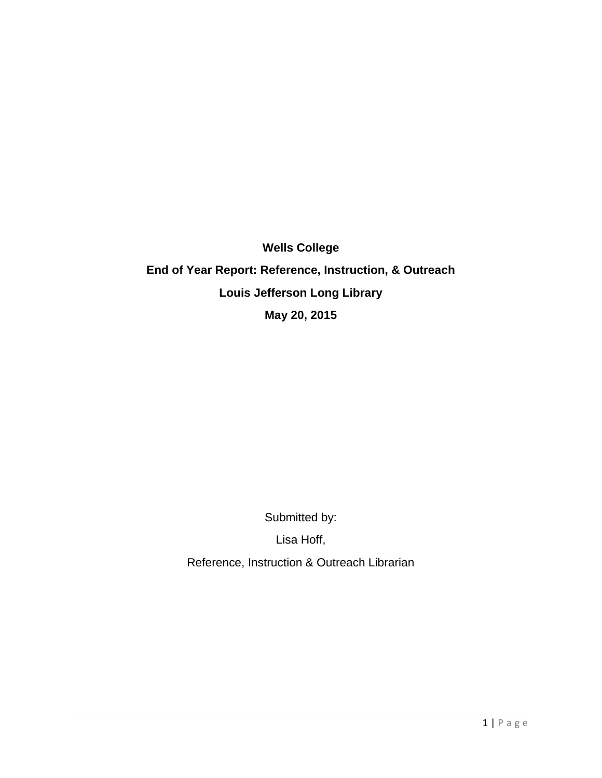**Wells College End of Year Report: Reference, Instruction, & Outreach Louis Jefferson Long Library May 20, 2015**

Submitted by:

Lisa Hoff,

Reference, Instruction & Outreach Librarian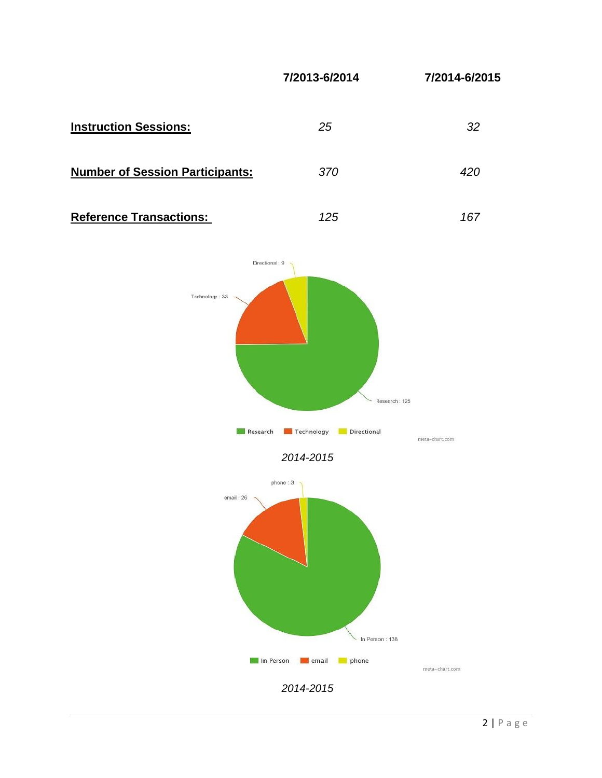

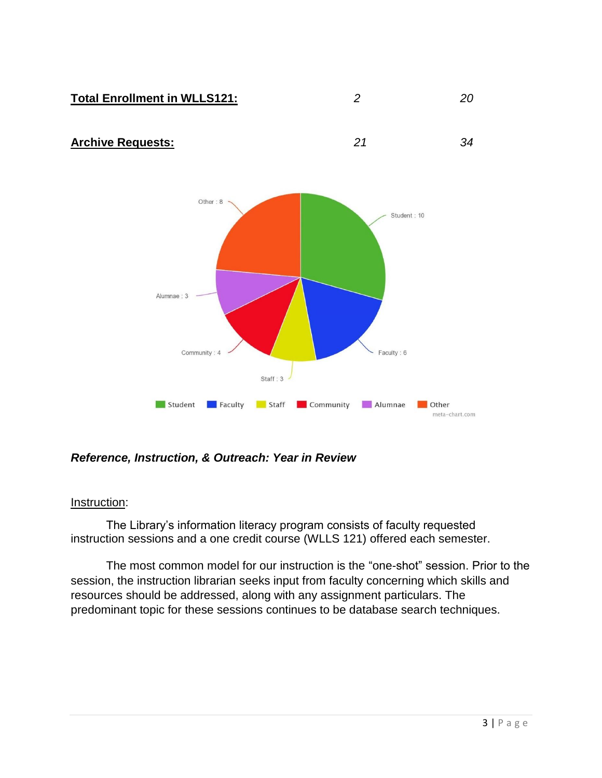

# *Reference, Instruction, & Outreach: Year in Review*

Faculty

Student

## Instruction:

The Library's information literacy program consists of faculty requested instruction sessions and a one credit course (WLLS 121) offered each semester.

The most common model for our instruction is the "one-shot" session. Prior to the session, the instruction librarian seeks input from faculty concerning which skills and resources should be addressed, along with any assignment particulars. The predominant topic for these sessions continues to be database search techniques.

Staff Community

Alumnae

**Other** 

meta-chart.com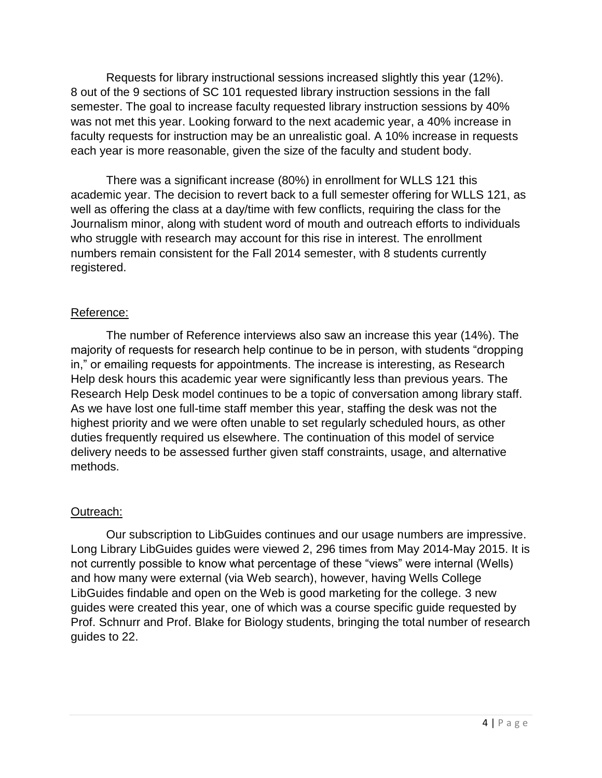Requests for library instructional sessions increased slightly this year (12%). 8 out of the 9 sections of SC 101 requested library instruction sessions in the fall semester. The goal to increase faculty requested library instruction sessions by 40% was not met this year. Looking forward to the next academic year, a 40% increase in faculty requests for instruction may be an unrealistic goal. A 10% increase in requests each year is more reasonable, given the size of the faculty and student body.

There was a significant increase (80%) in enrollment for WLLS 121 this academic year. The decision to revert back to a full semester offering for WLLS 121, as well as offering the class at a day/time with few conflicts, requiring the class for the Journalism minor, along with student word of mouth and outreach efforts to individuals who struggle with research may account for this rise in interest. The enrollment numbers remain consistent for the Fall 2014 semester, with 8 students currently registered.

# Reference:

The number of Reference interviews also saw an increase this year (14%). The majority of requests for research help continue to be in person, with students "dropping in," or emailing requests for appointments. The increase is interesting, as Research Help desk hours this academic year were significantly less than previous years. The Research Help Desk model continues to be a topic of conversation among library staff. As we have lost one full-time staff member this year, staffing the desk was not the highest priority and we were often unable to set regularly scheduled hours, as other duties frequently required us elsewhere. The continuation of this model of service delivery needs to be assessed further given staff constraints, usage, and alternative methods.

# Outreach:

Our subscription to LibGuides continues and our usage numbers are impressive. Long Library LibGuides guides were viewed 2, 296 times from May 2014-May 2015. It is not currently possible to know what percentage of these "views" were internal (Wells) and how many were external (via Web search), however, having Wells College LibGuides findable and open on the Web is good marketing for the college. 3 new guides were created this year, one of which was a course specific guide requested by Prof. Schnurr and Prof. Blake for Biology students, bringing the total number of research guides to 22.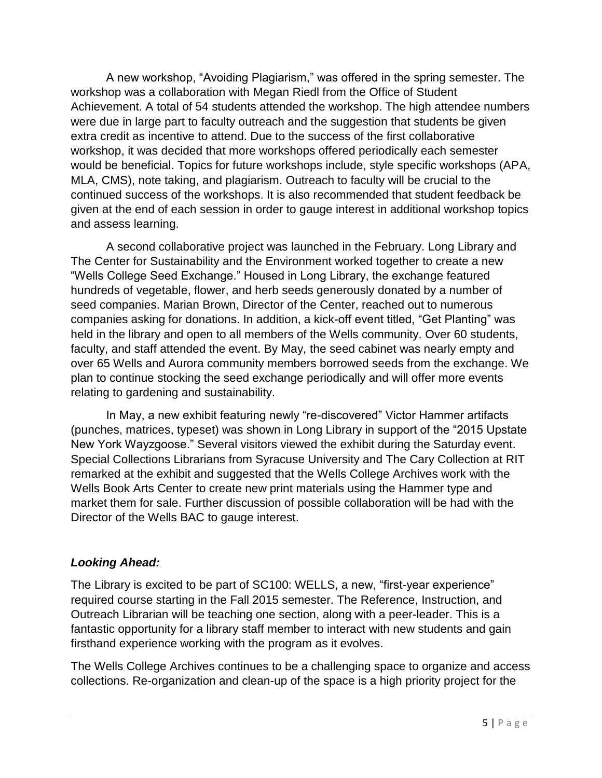A new workshop, "Avoiding Plagiarism," was offered in the spring semester. The workshop was a collaboration with Megan Riedl from the Office of Student Achievement. A total of 54 students attended the workshop. The high attendee numbers were due in large part to faculty outreach and the suggestion that students be given extra credit as incentive to attend. Due to the success of the first collaborative workshop, it was decided that more workshops offered periodically each semester would be beneficial. Topics for future workshops include, style specific workshops (APA, MLA, CMS), note taking, and plagiarism. Outreach to faculty will be crucial to the continued success of the workshops. It is also recommended that student feedback be given at the end of each session in order to gauge interest in additional workshop topics and assess learning.

A second collaborative project was launched in the February. Long Library and The Center for Sustainability and the Environment worked together to create a new "Wells College Seed Exchange." Housed in Long Library, the exchange featured hundreds of vegetable, flower, and herb seeds generously donated by a number of seed companies. Marian Brown, Director of the Center, reached out to numerous companies asking for donations. In addition, a kick-off event titled, "Get Planting" was held in the library and open to all members of the Wells community. Over 60 students, faculty, and staff attended the event. By May, the seed cabinet was nearly empty and over 65 Wells and Aurora community members borrowed seeds from the exchange. We plan to continue stocking the seed exchange periodically and will offer more events relating to gardening and sustainability.

In May, a new exhibit featuring newly "re-discovered" Victor Hammer artifacts (punches, matrices, typeset) was shown in Long Library in support of the "2015 Upstate New York Wayzgoose." Several visitors viewed the exhibit during the Saturday event. Special Collections Librarians from Syracuse University and The Cary Collection at RIT remarked at the exhibit and suggested that the Wells College Archives work with the Wells Book Arts Center to create new print materials using the Hammer type and market them for sale. Further discussion of possible collaboration will be had with the Director of the Wells BAC to gauge interest.

# *Looking Ahead:*

The Library is excited to be part of SC100: WELLS, a new, "first-year experience" required course starting in the Fall 2015 semester. The Reference, Instruction, and Outreach Librarian will be teaching one section, along with a peer-leader. This is a fantastic opportunity for a library staff member to interact with new students and gain firsthand experience working with the program as it evolves.

The Wells College Archives continues to be a challenging space to organize and access collections. Re-organization and clean-up of the space is a high priority project for the